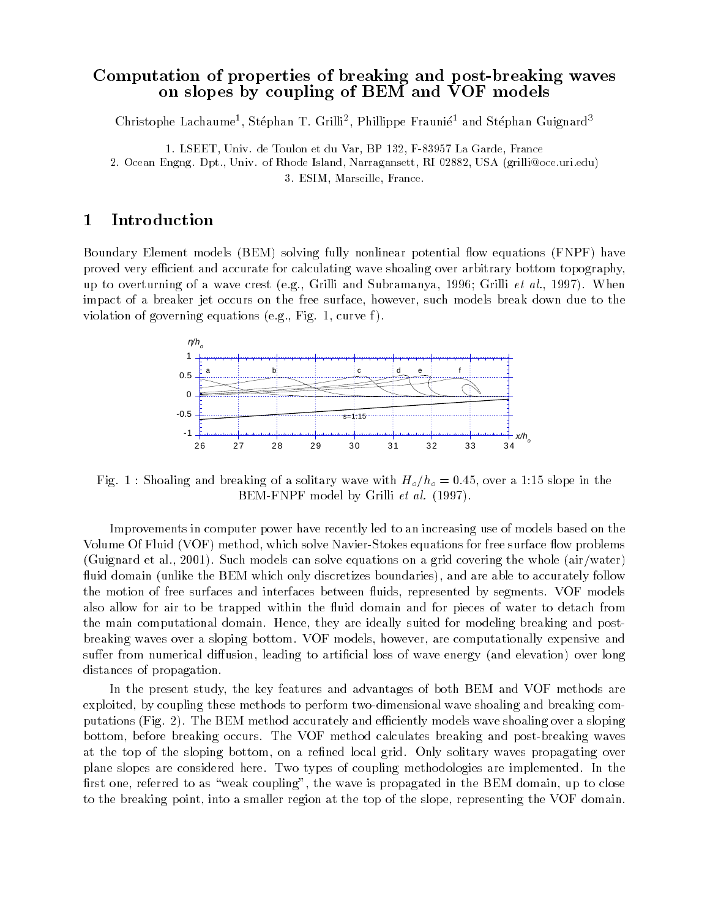## Computation of properties of breaking and post-breaking waveson slopes by coupling of BEM and VOF models

Unristophe Lachaume<sup>1</sup>, Stephan T. Grilli<sup>2</sup>, Phillippe Fraunie<sup>2</sup> and Stephan Guignard<sup>3</sup>

1. LSEET, Univ. de Toulon et du Var, BP 132, F-83957 La Garde, France 2. Ocean Engng. Dpt., Univ. of Rhode Island, Narragansett, RI 02882, USA (grilli@oce.uri.edu) 3. ESIM, Marseille, France.

## 1Introduction

Boundary Element models (BEM) solving fully nonlinear potential flow equations (FNPF) have proved very efficient and accurate for calculating wave shoaling over arbitrary bottom topography, up to overturning of a wave crest (e.g., Grilli and Subramanya, 1996; Grilli et al., 1997). When impact of a breaker jet occurs on the free surface, however, such models break down due to the violation of governing equations (e.g., Fig. 1, curve f).



Fig. 1 : Shoaling and breaking of a solitary wave with  $H_o/h_o = 0.45$ , over a 1:15 slope in the BEM-FNPF model by Grilli et al. (1997).

Improvements in computer power have recently led to an increasing use of models based on the Volume Of Fluid (VOF) method, which solve Navier-Stokes equations for free surface flow problems (Guignard et al., 2001). Such models can solve equations on a grid covering the whole (air/water) fluid domain (unlike the BEM which only discretizes boundaries), and are able to accurately follow the motion of free surfaces and interfaces between fluids, represented by segments. VOF models also allow for air to be trapped within the fluid domain and for pieces of water to detach from the main computational domain. Hence, they are ideally suited for modeling breaking and postbreaking waves over a sloping bottom. VOF models, however, are computationally expensive and suffer from numerical diffusion, leading to artificial loss of wave energy (and elevation) over long distances of propagation.

In the present study, the key features and advantages of both BEM and VOF methods are exploited, by coupling these methods to perform two-dimensional wave shoaling and breaking computations (Fig. 2). The BEM method accurately and efficiently models wave shoaling over a sloping bottom, before breaking occurs. The VOF method calculates breaking and post-breaking waves at the top of the sloping bottom, on a refined local grid. Only solitary waves propagating over plane slopes are considered here. Two types of coupling methodologies are implemented. In the first one, referred to as "weak coupling", the wave is propagated in the BEM domain, up to close to the breaking point, into a smaller region at the top of the slope, representing the VOF domain.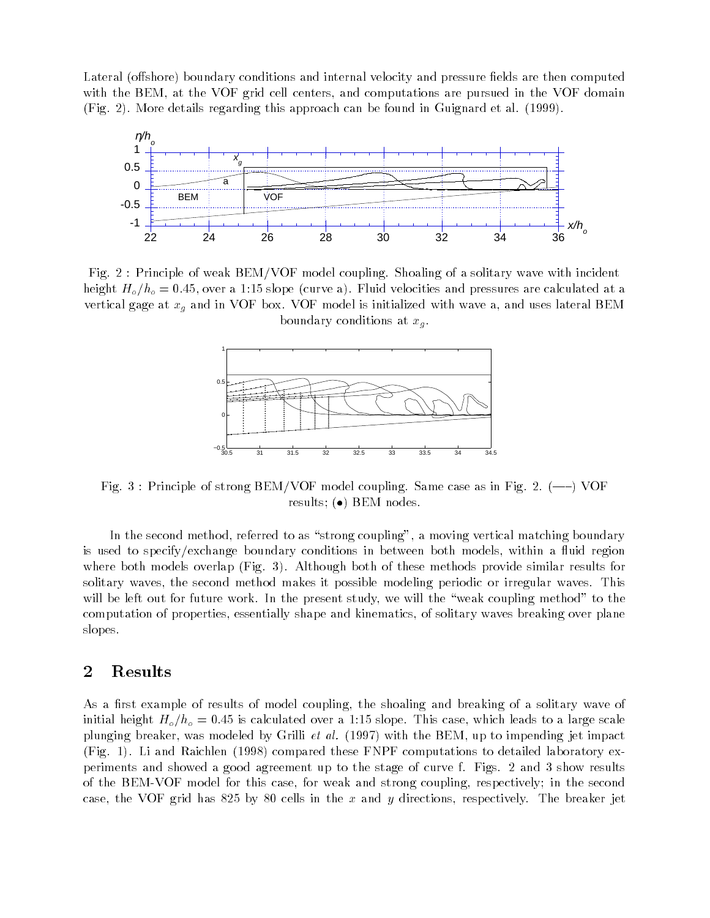Lateral (offshore) boundary conditions and internal velocity and pressure fields are then computed with the BEM, at the VOF grid cell centers, and computations are pursued in the VOF domain (Fig. 2). More details regarding this approach can be found in Guignard et al. (1999).



Fig. 2 : Principle of weak BEM/VOF model coupling. Shoaling of a solitary wave with incident height  $H_o/h_o = 0.45$ , over a 1:15 slope (curve a). Fluid velocities and pressures are calculated at a vertical gage at  $x_g$  and in VOF box. VOF model is initialized with wave a, and uses lateral BEM boundary conditions at  $x_q$ .



Fig. 3 : Principle of strong BEM/VOF model coupling. Same case as in Fig. 2.  $(-)$  VOF results; ( $\bullet$ ) BEM nodes.

In the second method, referred to as "strong coupling", a moving vertical matching boundary is used to specify/exchange boundary conditions in between both models, within a fluid region where both models overlap (Fig. 3). Although both of these methods provide similar results for solitary waves, the second method makes it possible modeling periodic or irregular waves. This will be left out for future work. In the present study, we will the "weak coupling method" to the computation of properties, essentially shape and kinematics, of solitary waves breaking over plane slopes.

## 2Results

As a first example of results of model coupling, the shoaling and breaking of a solitary wave of initial height  $H_o/h_o = 0.45$  is calculated over a 1:15 slope. This case, which leads to a large scale plunging breaker, was modeled by Grilli *et al.* (1997) with the BEM, up to impending jet impact (Fig. 1). Li and Raichlen (1998) compared these FNPF computations to detailed laboratory experiments and showed a good agreement up to the stage of curve f. Figs. 2 and 3 show results of the BEM-VOF model for this case, for weak and strong coupling, respectively; in the second case, the VOF grid has 825 by 80 cells in the x and y directions, respectively. The breaker jet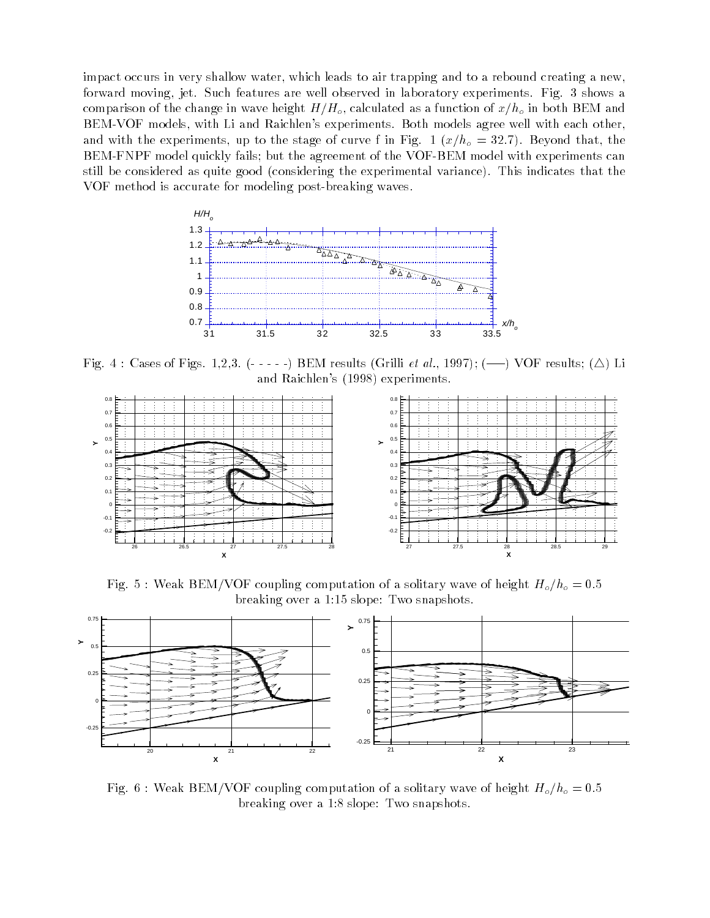impact occurs in very shallow water, which leads to air trapping and to a rebound creating a new, forward moving, jet. Such features are well observed in laboratory experiments. Fig. 3 shows a comparison of the change in wave height  $H/H_o$ , calculated as a function of  $x/h_o$  in both BEM and BEM-VOF models, with Li and Raichlen's experiments. Both models agree well with each other, and with the experiments, up to the stage of curve f in Fig. 1  $(x/h<sub>o</sub> = 32.7)$ . Beyond that, the BEM-FNPF model quickly fails; but the agreement of the VOF-BEM model with experiments can still be considered as quite good (considering the experimental variance). This indicates that the VOF method is accurate for modeling post-breaking waves.



Fig. 4 : Cases of Figs. 1,2,3. (-----) BEM results (Grilli et al., 1997); (---) VOF results; ( $\triangle$ ) Li and Raichlen's (1998) experiments.



Fig. 5 : Weak BEM/VOF coupling computation of a solitary wave of height  $H_o/h_o = 0.5$ breaking over a 1:15 slope: Two snapshots.



Fig. 6 : Weak BEM/VOF coupling computation of a solitary wave of height  $H_o/h_o = 0.5$ breaking over a 1:8 slope: Two snapshots.